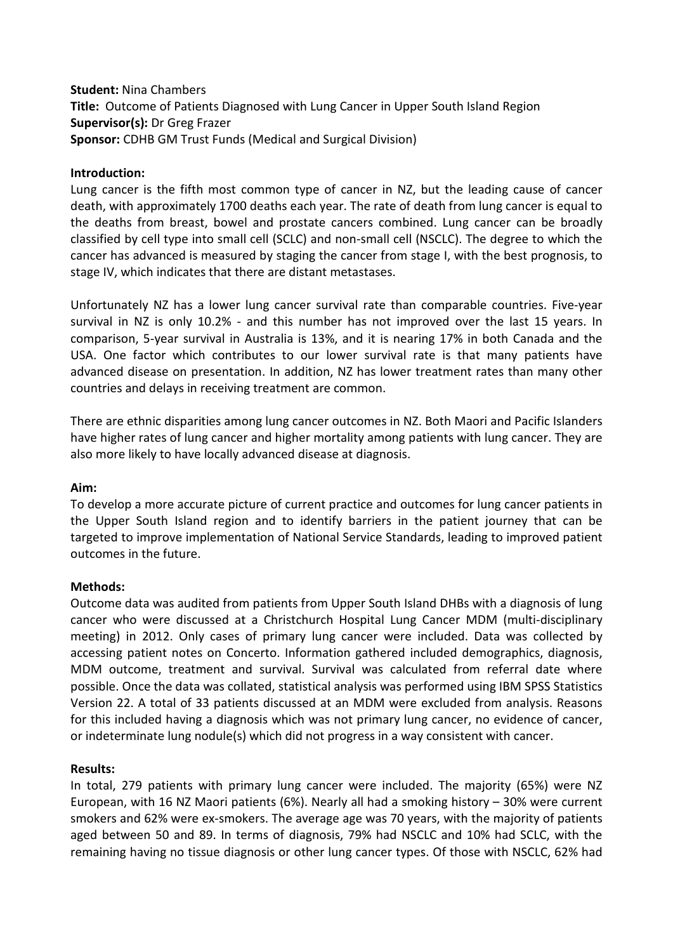# **Student:** Nina Chambers **Title:** Outcome of Patients Diagnosed with Lung Cancer in Upper South Island Region **Supervisor(s):** Dr Greg Frazer **Sponsor:** CDHB GM Trust Funds (Medical and Surgical Division)

## **Introduction:**

Lung cancer is the fifth most common type of cancer in NZ, but the leading cause of cancer death, with approximately 1700 deaths each year. The rate of death from lung cancer is equal to the deaths from breast, bowel and prostate cancers combined. Lung cancer can be broadly classified by cell type into small cell (SCLC) and non-small cell (NSCLC). The degree to which the cancer has advanced is measured by staging the cancer from stage I, with the best prognosis, to stage IV, which indicates that there are distant metastases.

Unfortunately NZ has a lower lung cancer survival rate than comparable countries. Five-year survival in NZ is only 10.2% - and this number has not improved over the last 15 years. In comparison, 5-year survival in Australia is 13%, and it is nearing 17% in both Canada and the USA. One factor which contributes to our lower survival rate is that many patients have advanced disease on presentation. In addition, NZ has lower treatment rates than many other countries and delays in receiving treatment are common.

There are ethnic disparities among lung cancer outcomes in NZ. Both Maori and Pacific Islanders have higher rates of lung cancer and higher mortality among patients with lung cancer. They are also more likely to have locally advanced disease at diagnosis.

### **Aim:**

To develop a more accurate picture of current practice and outcomes for lung cancer patients in the Upper South Island region and to identify barriers in the patient journey that can be targeted to improve implementation of National Service Standards, leading to improved patient outcomes in the future.

### **Methods:**

Outcome data was audited from patients from Upper South Island DHBs with a diagnosis of lung cancer who were discussed at a Christchurch Hospital Lung Cancer MDM (multi-disciplinary meeting) in 2012. Only cases of primary lung cancer were included. Data was collected by accessing patient notes on Concerto. Information gathered included demographics, diagnosis, MDM outcome, treatment and survival. Survival was calculated from referral date where possible. Once the data was collated, statistical analysis was performed using IBM SPSS Statistics Version 22. A total of 33 patients discussed at an MDM were excluded from analysis. Reasons for this included having a diagnosis which was not primary lung cancer, no evidence of cancer, or indeterminate lung nodule(s) which did not progress in a way consistent with cancer.

### **Results:**

In total, 279 patients with primary lung cancer were included. The majority (65%) were NZ European, with 16 NZ Maori patients (6%). Nearly all had a smoking history – 30% were current smokers and 62% were ex-smokers. The average age was 70 years, with the majority of patients aged between 50 and 89. In terms of diagnosis, 79% had NSCLC and 10% had SCLC, with the remaining having no tissue diagnosis or other lung cancer types. Of those with NSCLC, 62% had